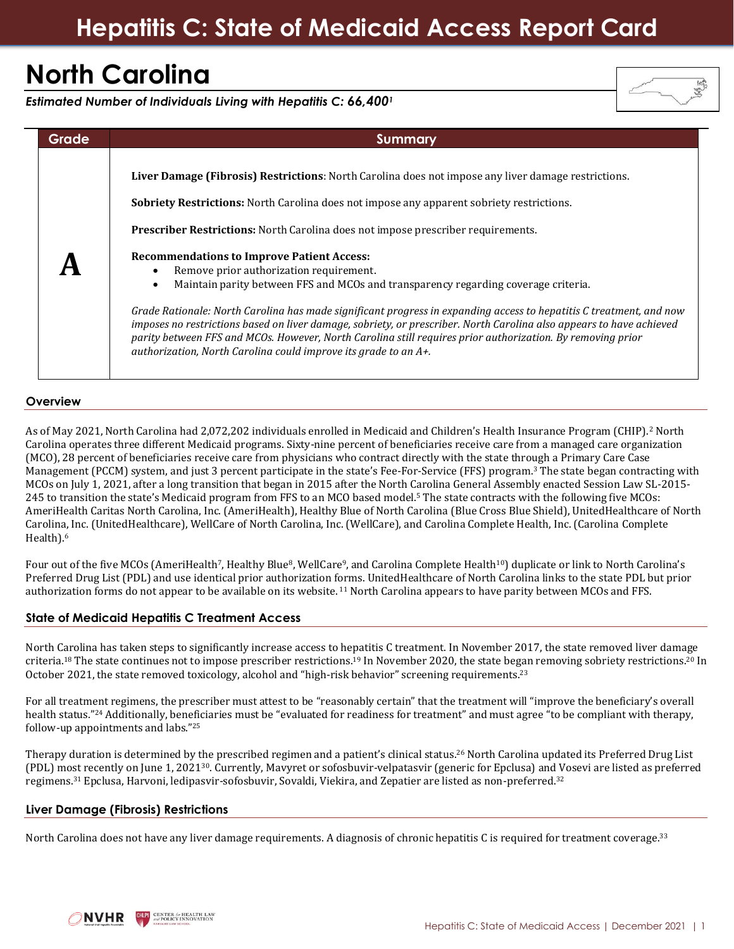# **North Carolina**

*Estimated Number of Individuals Living with Hepatitis C: 66,400<sup>1</sup>*



# **Overview**

As of May 2021, North Carolina had 2,072,202 individuals enrolled in Medicaid and Children's Health Insurance Program (CHIP).<sup>2</sup> North Carolina operates three different Medicaid programs. Sixty-nine percent of beneficiaries receive care from a managed care organization (MCO), 28 percent of beneficiaries receive care from physicians who contract directly with the state through a Primary Care Case Management (PCCM) system, and just 3 percent participate in the state's Fee-For-Service (FFS) program.<sup>3</sup> The state began contracting with MCOs on July 1, 2021, after a long transition that began in 2015 after the North Carolina General Assembly enacted Session Law SL-2015- 245 to transition the state's Medicaid program from FFS to an MCO based model.<sup>5</sup> The state contracts with the following five MCOs: AmeriHealth Caritas North Carolina, Inc. (AmeriHealth), Healthy Blue of North Carolina (Blue Cross Blue Shield), UnitedHealthcare of North Carolina, Inc. (UnitedHealthcare), WellCare of North Carolina, Inc. (WellCare), and Carolina Complete Health, Inc. (Carolina Complete Health).<sup>6</sup>

Four out of the five MCOs (AmeriHealth<sup>7</sup>, Healthy Blue<sup>8</sup>, WellCare<sup>9</sup>, and Carolina Complete Health<sup>10</sup>) duplicate or link to North Carolina's Preferred Drug List (PDL) and use identical prior authorization forms. UnitedHealthcare of North Carolina links to the state PDL but prior authorization forms do not appear to be available on its website. <sup>11</sup> North Carolina appears to have parity between MCOs and FFS.

# **State of Medicaid Hepatitis C Treatment Access**

North Carolina has taken steps to significantly increase access to hepatitis C treatment. In November 2017, the state removed liver damage criteria.<sup>18</sup> The state continues not to impose prescriber restrictions.<sup>19</sup> In November 2020, the state began removing sobriety restrictions.<sup>20</sup> In October 2021, the state removed toxicology, alcohol and "high-risk behavior" screening requirements.<sup>23</sup>

For all treatment regimens, the prescriber must attest to be "reasonably certain" that the treatment will "improve the beneficiary's overall health status."<sup>24</sup> Additionally, beneficiaries must be "evaluated for readiness for treatment" and must agree "to be compliant with therapy, follow-up appointments and labs."<sup>25</sup>

Therapy duration is determined by the prescribed regimen and a patient's clinical status. <sup>26</sup> North Carolina updated its Preferred Drug List (PDL) most recently on June 1, 202130. Currently, Mavyret or sofosbuvir-velpatasvir (generic for Epclusa) and Vosevi are listed as preferred regimens. <sup>31</sup> Epclusa, Harvoni, ledipasvir-sofosbuvir, Sovaldi, Viekira, and Zepatier are listed as non-preferred.<sup>32</sup>

# **Liver Damage (Fibrosis) Restrictions**

North Carolina does not have any liver damage requirements. A diagnosis of chronic hepatitis C is required for treatment coverage.<sup>33</sup>